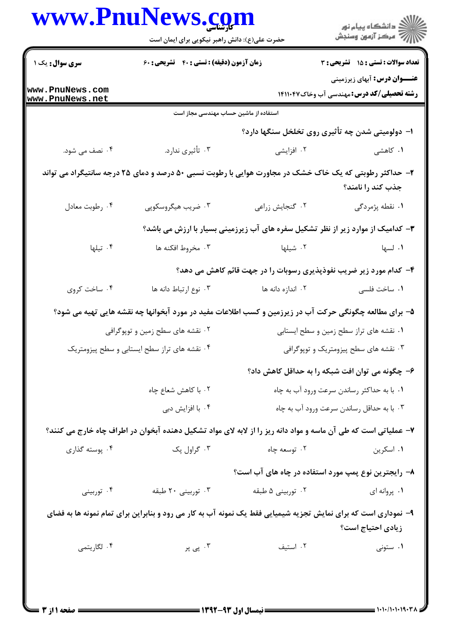|                                              | حضرت علی(ع): دانش راهبر نیکویی برای ایمان است                                                                  | ر دانشگاه پيام نور<br>ا∛هرکز آزمون وسنجش  |                                                                                         |  |  |
|----------------------------------------------|----------------------------------------------------------------------------------------------------------------|-------------------------------------------|-----------------------------------------------------------------------------------------|--|--|
| <b>سری سوال :</b> یک ۱                       | زمان آزمون (دقیقه) : تستی : ۴۰٪ تشریحی : ۶۰                                                                    |                                           | تعداد سوالات : تستي : 15 تشريحي : 3                                                     |  |  |
| www.PnuNews.com<br>www.PnuNews.net           |                                                                                                                |                                           | <b>عنـــوان درس:</b> آبهای زیرزمینی<br><b>رشته تحصیلی/کد درس:</b> مهندسی آب وخاک1۴۱۱۰۴۷ |  |  |
|                                              | استفاده از ماشین حساب مهندسی مجاز است                                                                          |                                           |                                                                                         |  |  |
|                                              |                                                                                                                |                                           | ۱– دولومیتی شدن چه تأثیری روی تخلخل سنگها دارد؟                                         |  |  |
| ۰۴ نصف می شود.                               | ۰۳ تأثيري ندارد.                                                                                               | ۰۲ افزایشی                                | ۰۱ کاهشی                                                                                |  |  |
|                                              | ۲- حداکثر رطوبتی که یک خاک خشک در مجاورت هوایی با رطوبت نسبی ۵۰ درصد و دمای ۲۵ درجه سانتیگراد می تواند         |                                           | جذب کند را نامند؟                                                                       |  |  |
| ۰۴ رطوبت معادل                               | ۰۳ ضریب هیگروسکوپی                                                                                             | ۰۲ گنجایش زراعی                           | ۰۱ نقطه پژمردگی                                                                         |  |  |
|                                              |                                                                                                                |                                           | ۳- کدامیک از موارد زیر از نظر تشکیل سفره های آب زیرزمینی بسیار با ارزش می باشد؟         |  |  |
| ۰۴ تیلها                                     | ۰۳ مخروط افکنه ها                                                                                              | ۰۲ شیلها                                  | ۰۱ لسها                                                                                 |  |  |
|                                              |                                                                                                                |                                           | ۴- کدام مورد زیر ضریب نفوذپذیری رسوبات را در جهت قائم کاهش می دهد؟                      |  |  |
| ۰۴ ساخت کروی                                 | ٠٣ نوع ارتباط دانه ها                                                                                          | ۰۲ اندازه دانه ها                         | ۰۱ ساخت فلسی                                                                            |  |  |
|                                              | ۵– برای مطالعه چگونگی حرکت آب در زیرزمین و کسب اطلاعات مفید در مورد آبخوانها چه نقشه هایی تهیه می شود؟         |                                           |                                                                                         |  |  |
|                                              | ۰۲ نقشه های سطح زمین و توپوگرافی                                                                               |                                           | ۰۱ نقشه های تراز سطح زمین و سطح ایستابی                                                 |  |  |
| ۰۴ نقشه های تراز سطح ایستابی و سطح پیزومتریک |                                                                                                                | ۰۳ نقشه های سطح پیزومتریک و توپوگرافی     |                                                                                         |  |  |
|                                              |                                                                                                                |                                           | ۶– چگونه می توان افت شبکه را به حداقل کاهش داد؟                                         |  |  |
|                                              | ۰۲ با کاهش شعاع چاه                                                                                            |                                           | ٠١ با به حداكثر رساندن سرعت ورود آب به چاه                                              |  |  |
| ۰۴ با افزايش دبي                             |                                                                                                                | ۰۳ با به حداقل رساندن سرعت ورود آب به چاه |                                                                                         |  |  |
|                                              | ۷– عملیاتی است که طی آن ماسه و مواد دانه ریز را از لابه لای مواد تشکیل دهنده آبخوان در اطراف چاه خارج می کنند؟ |                                           |                                                                                         |  |  |
| ۰۴ پوسته گذاری                               | ۰۳ گراول پک                                                                                                    | ۰۲ توسعه چاه                              | ۰۱ اسکرین                                                                               |  |  |
|                                              |                                                                                                                |                                           | ۸– رایجترین نوع پمپ مورد استفاده در چاه های آب است؟                                     |  |  |
| ۰۴ توربینی                                   | ۰۳ توربینی ۲۰ طبقه                                                                                             | ۰۲ توربینی ۵ طبقه                         | ۰۱ پروانه ای                                                                            |  |  |
|                                              | ۹- نموداری است که برای نمایش تجزیه شیمیایی فقط یک نمونه آب به کار می رود و بنابراین برای تمام نمونه ها به فضای |                                           | زیادی احتیاج است؟                                                                       |  |  |
| ۰۴ لگاريتمي                                  | ۰۳ پی پر                                                                                                       | ۰۲ استيف                                  | ۰۱ ستونی                                                                                |  |  |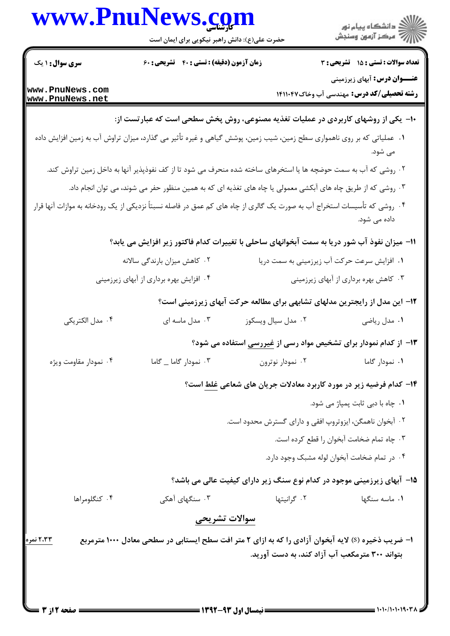|                        | www.PnuNews.com                                                                                                                                                                                             |                                                                            | )<br>  دانشگاه پیام نور<br>   آمرکز آزمون وسنجش                                         |
|------------------------|-------------------------------------------------------------------------------------------------------------------------------------------------------------------------------------------------------------|----------------------------------------------------------------------------|-----------------------------------------------------------------------------------------|
|                        | حضرت علی(ع): دانش راهبر نیکویی برای ایمان است                                                                                                                                                               |                                                                            |                                                                                         |
| <b>سری سوال : ۱</b> یک | زمان آزمون (دقیقه) : تستی : ۴۰٪ تشریحی : ۶۰                                                                                                                                                                 |                                                                            | تعداد سوالات : تستى : 15 - تشريحي : 3                                                   |
| www.PnuNews.com        |                                                                                                                                                                                                             |                                                                            | <b>عنـــوان درس:</b> آبهای زیرزمینی<br><b>رشته تحصیلی/کد درس:</b> مهندسی آب وخاک1۴۱۱۰۴۷ |
| www.PnuNews.net        |                                                                                                                                                                                                             |                                                                            |                                                                                         |
|                        | +۱- یکی از روشهای کاربردی در عملیات تغذیه مصنوعی، روش پخش سطحی است که عبارتست از:<br>۰۱ عملیاتی که بر روی ناهمواری سطح زمین، شیب زمین، پوشش گیاهی و غیره تأثیر می گذارد، میزان تراوش آب به زمین افزایش داده |                                                                            |                                                                                         |
|                        |                                                                                                                                                                                                             |                                                                            | می شود.                                                                                 |
|                        | ۲. روشی که آب به سمت حوضچه ها یا استخرهای ساخته شده منحرف می شود تا از کف نفوذپذیر آنها به داخل زمین تراوش کند.                                                                                             |                                                                            |                                                                                         |
|                        | ۰۳ روشی که از طریق چاه های آبکشی معمولی یا چاه های تغذیه ای که به همین منظور حفر می شوند، می توان انجام داد.                                                                                                |                                                                            |                                                                                         |
|                        | ۰۴ روشی که تأسیسات استخراج آب به صورت یک گالری از چاه های کم عمق در فاصله نسبتاً نزدیکی از یک رودخانه به موازات آنها قرار                                                                                   |                                                                            | داده می شود.                                                                            |
|                        | 11– میزان نفوذ آب شور دریا به سمت آبخوانهای ساحلی با تغییرات کدام فاکتور زیر افزایش می یابد؟                                                                                                                |                                                                            |                                                                                         |
|                        | ۰۲ کاهش میزان بارندگی سالانه                                                                                                                                                                                |                                                                            | ۰۱ افزایش سرعت حرکت آب زیرزمینی به سمت دریا                                             |
|                        | ۰۴ افزایش بهره برداری از آبهای زیرزمینی                                                                                                                                                                     |                                                                            | ۰۳ کاهش بهره برداری از آبهای زیرزمینی                                                   |
|                        |                                                                                                                                                                                                             | ۱۲- این مدل از رایجترین مدلهای تشابهی برای مطالعه حرکت آبهای زیرزمینی است؟ |                                                                                         |
| ۰۴ مدل الکتریکی        | ۰۳ مدل ماسه ای                                                                                                                                                                                              | ۰۲ مدل سیال ویسکوز                                                         | ۰۱ مدل ریاضی                                                                            |
|                        |                                                                                                                                                                                                             | ۱۳– از کدام نمودار برای تشخیص مواد رسی از <u>غیررسی</u> استفاده می شود؟    |                                                                                         |
| ۰۴ نمودار مقاومت ویژه  | ۰۳ نمودار گاما _ گاما                                                                                                                                                                                       | ۰۲ نمودار نوترون                                                           | ۰۱ نمودار گاما                                                                          |
|                        |                                                                                                                                                                                                             | ۱۴- کدام فرضیه زیر در مورد کاربرد معادلات جریان های شعاعی غلط است؟         |                                                                                         |
|                        |                                                                                                                                                                                                             |                                                                            | ۰۱ چاه با دبی ثابت پمپاژ می شود.                                                        |
|                        |                                                                                                                                                                                                             | ۰۲ آبخوان ناهمگن، ایزوتروپ افقی و دارای گسترش محدود است.                   |                                                                                         |
|                        |                                                                                                                                                                                                             |                                                                            | ۰۳ چاه تمام ضخامت آبخوان را قطع کرده است.                                               |
|                        |                                                                                                                                                                                                             |                                                                            | ۰۴ در تمام ضخامت آبخوان لوله مشبک وجود دارد.                                            |
|                        |                                                                                                                                                                                                             | 1۵- آبهای زیرزمینی موجود در کدام نوع سنگ زیر دارای کیفیت عالی می باشد؟     |                                                                                         |
| ۰۴ کنگلومراها          | ۰۳ سنگهای آهکی                                                                                                                                                                                              | ۰۲ گرانیتها                                                                | ۰۱ ماسه سنگها                                                                           |
|                        | سوالات تشريحي                                                                                                                                                                                               |                                                                            |                                                                                         |
| ۲،۳۳ نمره              | ا– ضریب ذخیره (S) لایه آبخوان آزادی را که به ازای ۲ متر افت سطح ایستابی در سطحی معادل ۱۰۰۰ مترمربع                                                                                                          | بتواند ۳۰۰ مترمکعب آب آزاد کند، به دست آورید.                              |                                                                                         |

 $= 1.1 - 11.1 - 19.77$